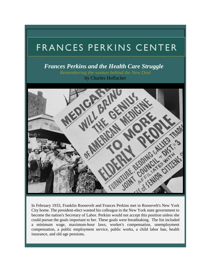## FRANCES PERKINS CENTER

*Frances Perkins and the Health Care Struggle* 

*Remembering the woman behind the New Deal* by Charles Hoffacker



In February 1933, Franklin Roosevelt and Frances Perkins met in Roosevelt's New York City home. The president-elect wanted his colleague in the New York state government to become the nation's Secretary of Labor. Perkins would not accept this position unless she could pursue the goals important to her. These goals were breathtaking. The list included a minimum wage, maximum-hour laws, worker's compensation, unemployment compensation, a public employment service, public works, a child labor ban, health insurance, and old age pensions.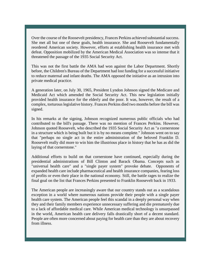Over the course of the Roosevelt presidency, Frances Perkins achieved substantial success. She met all but one of these goals, health insurance. She and Roosevelt fundamentally reordered American society. However, efforts at establishing health insurance met with defeat. Opposition mobilized by the American Medical Association was so intense that it threatened the passage of the 1935 Social Security Act.

This was not the first battle the AMA had won against the Labor Department. Shortly before, the Children's Bureau of the Department had lost funding for a successful initiative to reduce maternal and infant deaths. The AMA opposed the initiative as an intrusion into private medical practice.

A generation later, on July 30, 1965, President Lyndon Johnson signed the Medicare and Medicaid Act which amended the Social Security Act. This new legislation initially provided health insurance for the elderly and the poor. It was, however, the result of a complex, torturous legislative history. Frances Perkins died two months before the bill was signed.

In his remarks at the signing, Johnson recognized numerous public officials who had contributed to the bill's passage. There was no mention of Frances Perkins. However, Johnson quoted Roosevelt, who described the 1935 Social Security Act as "a cornerstone in a structure which is being built but it is by no means complete." Johnson went on to say that "perhaps no single act in the entire administration of the beloved Franklin D. Roosevelt really did more to win him the illustrious place in history that he has as did the laying of that cornerstone."

Additional efforts to build on that cornerstone have continued, especially during the presidential administrations of Bill Clinton and Barack Obama. Concepts such as "universal health care" and a "single payer system" provoke debate. Opponents of expanded health care include pharmaceutical and health insurance companies, fearing loss of profits or even their place in the national economy. Still, the battle rages to realize the final goal on the list that Frances Perkins presented to Franklin Roosevelt back in 1933.

The American people are increasingly aware that our country stands out as a scandalous exception in a world where numerous nations provide their people with a single payer health care system. The American people feel this scandal in a deeply personal way when they and their family members experience unnecessary suffering and die prematurely due to a lack of affordable medical care. While American medical technology is unsurpassed in the world, American health care delivery falls drastically short of a decent standard. People are often more concerned about paying for health care than they are about recovery from illness.